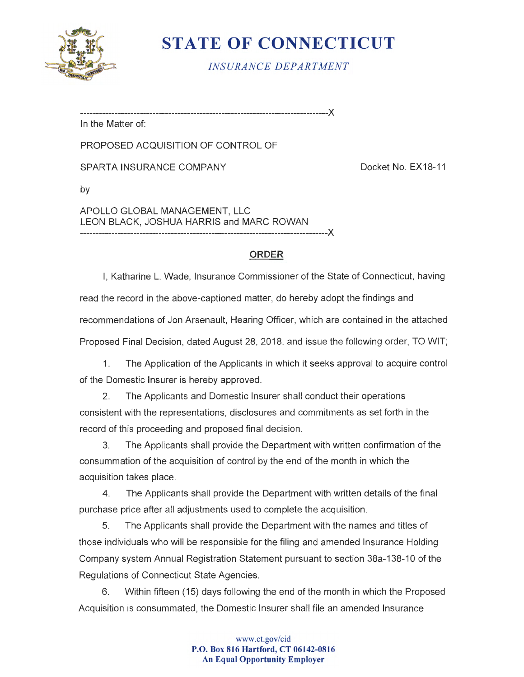

# **STATE OF CONNECTICUT**

*INSURANCE DEPARTMENT* 

-------------------------------------------------------------------------------)(

In the Matter of:

PROPOSED ACQUISITION OF CONTROL OF

SPARTA INSURANCE COMPANY DOCKE NO. EX18-11

by

APOLLO GLOBAL MANAGEMENT, LLC LEON BLACK, JOSHUA HARRIS and MARC ROWAN -------------------------------------------------------------------------------)(

# **ORDER**

I, Katharine L. Wade, Insurance Commissioner of the State of Connecticut, having read the record in the above-captioned matter, do hereby adopt the findings and recommendations of Jon Arsenault, Hearing Officer, which are contained in the attached Proposed Final Decision, dated August 28, 2018, and issue the following order, TO WIT;

1. The Application of the Applicants in which it seeks approval to acquire control of the Domestic Insurer is hereby approved.

2. The Applicants and Domestic Insurer shall conduct their operations consistent with the representations, disclosures and commitments as set forth in the record of this proceeding and proposed final decision.

3. The Applicants shall provide the Department with written confirmation of the consummation of the acquisition of control by the end of the month in which the acquisition takes place.

4. The Applicants shall provide the Department with written details of the final purchase price after all adjustments used to complete the acquisition.

5. The Applicants shall provide the Department with the names and titles of those individuals who will be responsible for the filing and amended Insurance Holding Company system Annual Registration Statement pursuant to section 38a-138-10 of the Regulations of Connecticut State Agencies.

6. Within fifteen (15) days following the end of the month in which the Proposed Acquisition is consummated, the Domestic Insurer shall file an amended Insurance

#### www.ct.gov/cid **P.O. Box 816 Hartford, CT 06142-0816 An Equal Opportunity Employer**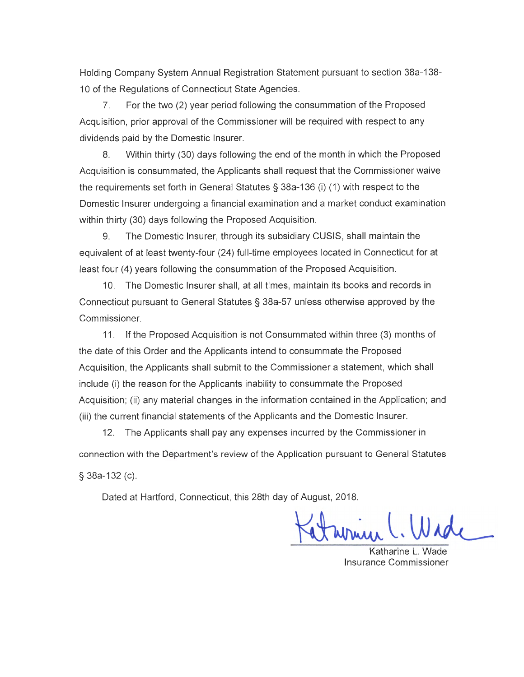Holding Company System Annual Registration Statement pursuant to section 38a-138- 10 of the Regulations of Connecticut State Agencies.

7. For the two (2) year period following the consummation of the Proposed Acquisition, prior approval of the Commissioner will be required with respect to any dividends paid by the Domestic Insurer.

8. Within thirty (30) days following the end of the month in which the Proposed Acquisition is consummated, the Applicants shall request that the Commissioner waive the requirements set forth in General Statutes § 38a-136 (i) (1) with respect to the Domestic Insurer undergoing a financial examination and a market conduct examination within thirty (30) days following the Proposed Acquisition.

9. The Domestic Insurer, through its subsidiary CUSIS, shall maintain the equivalent of at least twenty-four (24) full-time employees located in Connecticut for at least four (4) years following the consummation of the Proposed Acquisition.

10. The Domestic Insurer shall, at all times, maintain its books and records in Connecticut pursuant to General Statutes § 38a-57 unless otherwise approved by the Commissioner.

11. If the Proposed Acquisition is not Consummated within three (3) months of the date of this Order and the Applicants intend to consummate the Proposed Acquisition, the Applicants shall submit to the Commissioner a statement, which shall include (i) the reason for the Applicants inability to consummate the Proposed Acquisition; (ii) any material changes in the information contained in the Application; and (iii) the current financial statements of the Applicants and the Domestic Insurer.

12. The Applicants shall pay any expenses incurred by the Commissioner in connection with the Department's review of the Application pursuant to General Statutes § 38a-132 (c).

Dated at Hartford, Connecticut, this 28th day of August, 2018.

Wrig

Katharine L. Wade Insurance Commissioner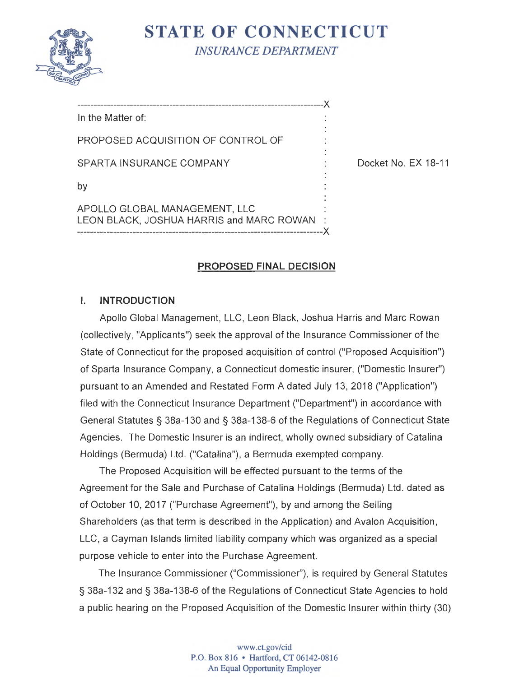

**STATE OF CONNECTICUT**  *INSURANCE DEPARTMENT* 

--------------------------------------------------------------------------->< In the Matter of: PROPOSED ACQUISITION OF CONTROL OF SPARTA INSURANCE COMPANY DELAY RESERVE TO Docket No. EX 18-11 by APOLLO GLOBAL MANAGEMENT, LLC LEON BLACK, JOSHUA HARRIS and MARC ROWAN

---------------------------------------------------------------------------><

# **PROPOSED FINAL DECISION**

# I. **INTRODUCTION**

Apollo Global Management, LLC, Leon Black, Joshua Harris and Marc Rowan (collectively, "Applicants") seek the approval of the Insurance Commissioner of the State of Connecticut for the proposed acquisition of control ("Proposed Acquisition") of Sparta Insurance Company, a Connecticut domestic insurer, ("Domestic Insurer") pursuant to an Amended and Restated Form A dated July 13, 2018 ("Application") filed with the Connecticut Insurance Department ("Department") in accordance with General Statutes§ 38a-130 and § 38a-138-6 of the Regulations of Connecticut State Agencies. The Domestic Insurer is an indirect, wholly owned subsidiary of Catalina Holdings (Bermuda) Ltd. ("Catalina"), a Bermuda exempted company.

The Proposed Acquisition will be effected pursuant to the terms of the Agreement for the Sale and Purchase of Catalina Holdings (Bermuda) Ltd . dated as of October 10, 2017 ("Purchase Agreement"), by and among the Selling Shareholders (as that term is described in the Application) and Avalon Acquisition , LLC, a Cayman Islands limited liability company which was organized as a special purpose vehicle to enter into the Purchase Agreement.

The Insurance Commissioner ("Commissioner"), is required by General Statutes § 38a-132 and § 38a-138-6 of the Regulations of Connecticut State Agencies to hold a public hearing on the Proposed Acquisition of the Domestic Insurer within thirty (30)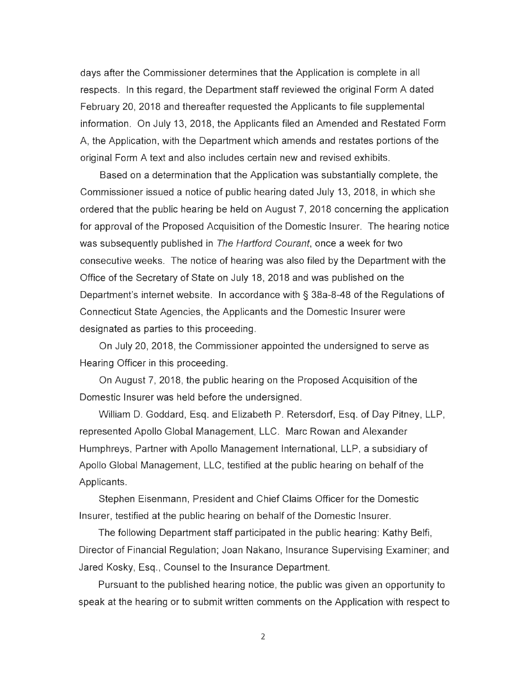days after the Commissioner determines that the Application is complete in all respects. In this regard, the Department staff reviewed the original Form A dated February 20, 2018 and thereafter requested the Applicants to file supplemental information . On July 13, 2018, the Applicants filed an Amended and Restated Form A, the Application, with the Department which amends and restates portions of the original Form A text and also includes certain new and revised exhibits.

Based on a determination that the Application was substantially complete, the Commissioner issued a notice of public hearing dated July 13, 2018, in which she ordered that the public hearing be held on August 7, 2018 concerning the application for approval of the Proposed Acquisition of the Domestic Insurer. The hearing notice was subsequently published in The Hartford Courant, once a week for two consecutive weeks. The notice of hearing was also filed by the Department with the Office of the Secretary of State on July 18, 2018 and was published on the Department's internet website. In accordance with § 38a-8-48 of the Regulations of Connecticut State Agencies , the Applicants and the Domestic Insurer were designated as parties to this proceeding.

On July 20, 2018, the Commissioner appointed the undersigned to serve as Hearing Officer in this proceeding.

On August 7, 2018, the public hearing on the Proposed Acquisition of the Domestic Insurer was held before the undersigned.

William D. Goddard, Esq. and Elizabeth P. Retersdorf, Esq. of Day Pitney, LLP, represented Apollo Global Management, LLC . Marc Rowan and Alexander Humphreys, Partner with Apollo Management International, LLP, a subsidiary of Apollo Global Management, LLC, testified at the public hearing on behalf of the Applicants.

Stephen Eisenmann, President and Chief Claims Officer for the Domestic Insurer, testified at the public hearing on behalf of the Domestic Insurer.

The following Department staff participated in the public hearing: Kathy Belfi, Director of Financial Regulation; Joan Nakano, Insurance Supervising Examiner; and Jared Kosky, Esq., Counsel to the Insurance Department.

Pursuant to the published hearing notice, the public was given an opportunity to speak at the hearing or to submit written comments on the Application with respect to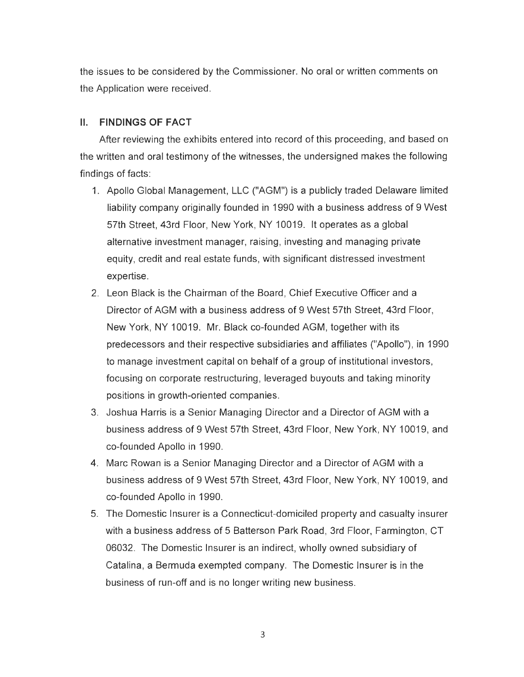the issues to be considered by the Commissioner. No oral or written comments on the Application were received.

## II. **FINDINGS OF FACT**

After reviewing the exhibits entered into record of this proceeding, and based on the written and oral testimony of the witnesses, the undersigned makes the following findings of facts:

- 1. Apollo Global Management, LLC ("AGM") is a publicly traded Delaware limited liability company originally founded in 1990 with a business address of 9 West 57th Street, 43rd Floor, New York, NY 10019. It operates as a global alternative investment manager, raising , investing and managing private equity, credit and real estate funds , with significant distressed investment expertise.
- 2. Leon Black is the Chairman of the Board, Chief Executive Officer and a Director of AGM with a business address of 9 West 57th Street, 43rd Floor, New York, NY 10019. Mr. Black co-founded AGM, together with its predecessors and their respective subsidiaries and affiliates ("Apollo"), in 1990 to manage investment capital on behalf of a group of institutional investors, focusing on corporate restructuring, leveraged buyouts and taking minority positions in growth-oriented companies.
- 3. Joshua Harris is a Senior Managing Director and a Director of AGM with a business address of 9 West 57th Street, 43rd Floor, New York, NY 10019, and co-founded Apollo in 1990.
- 4. Marc Rowan is a Senior Managing Director and a Director of AGM with a business address of 9 West 57th Street, 43rd Floor, New York, NY 10019, and co-founded Apollo in 1990.
- 5. The Domestic Insurer is a Connecticut-domiciled property and casualty insurer with a business address of 5 Batterson Park Road, 3rd Floor, Farmington, CT 06032. The Domestic Insurer is an indirect, wholly owned subsidiary of Catalina, a Bermuda exempted company. The Domestic Insurer is in the business of run-off and is no longer writing new business.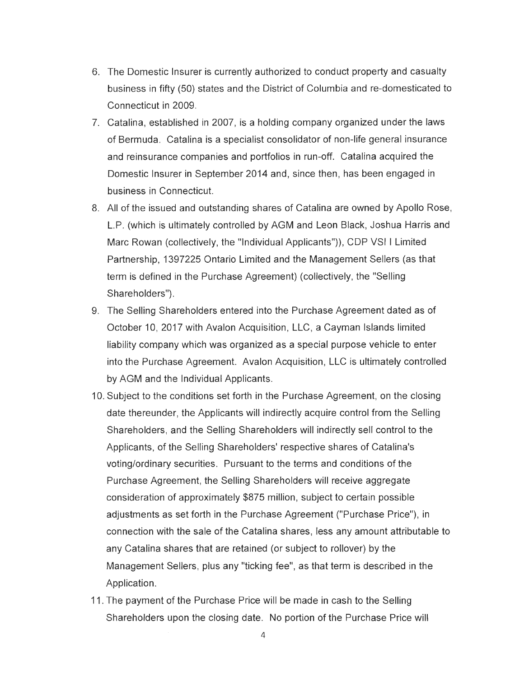- 6. The Domestic Insurer is currently authorized to conduct property and casualty business in fifty (50) states and the District of Columbia and re-domesticated to Connecticut in 2009.
- 7. Catalina, established in 2007, is a holding company organized under the laws of Bermuda. Catalina is a specialist consolidator of non-life general insurance and reinsurance companies and portfolios in run-off. Catalina acquired the Domestic Insurer in September 2014 and, since then, has been engaged in business in Connecticut.
- 8. All of the issued and outstanding shares of Catalina are owned by Apollo Rose , L.P. (which is ultimately controlled by AGM and Leon Black, Joshua Harris and Marc Rowan (collectively, the "Individual Applicants")), CDP VSI I Limited Partnership, 1397225 Ontario Limited and the Management Sellers (as that term is defined in the Purchase Agreement) (collectively, the "Selling Shareholders").
- 9. The Selling Shareholders entered into the Purchase Agreement dated as of October 10, 2017 with Avalon Acquisition, LLC, a Cayman Islands limited liability company which was organized as a special purpose vehicle to enter into the Purchase Agreement. Avalon Acquisition, LLC is ultimately controlled by AGM and the Individual Applicants.
- 10. Subject to the conditions set forth in the Purchase Agreement, on the closing date thereunder, the Applicants will indirectly acquire control from the Selling Shareholders, and the Selling Shareholders will indirectly sell control to the Applicants, of the Selling Shareholders' respective shares of Catalina's voting/ordinary securities. Pursuant to the terms and conditions of the Purchase Agreement, the Selling Shareholders will receive aggregate consideration of approximately \$875 million, subject to certain possible adjustments as set forth in the Purchase Agreement ("Purchase Price"), in connection with the sale of the Catalina shares, less any amount attributable to any Catalina shares that are retained (or subject to rollover) by the Management Sellers, plus any "ticking fee", as that term is described in the Application.
- 11. The payment of the Purchase Price will be made in cash to the Selling Shareholders upon the closing date. No portion of the Purchase Price will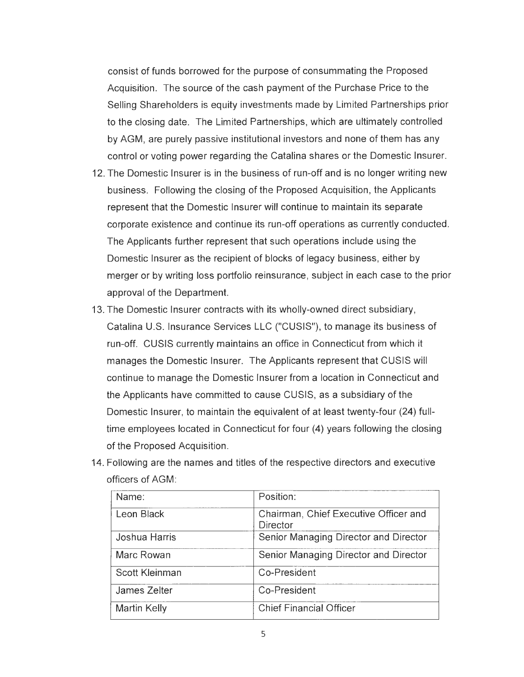consist of funds borrowed for the purpose of consummating the Proposed Acquisition . The source of the cash payment of the Purchase Price to the Selling Shareholders is equity investments made by Limited Partnerships prior to the closing date. The Limited Partnerships, which are ultimately controlled by AGM, are purely passive institutional investors and none of them has any control or voting power regarding the Catalina shares or the Domestic Insurer.

- 12. The Domestic Insurer is in the business of run-off and is no longer writing new business. Following the closing of the Proposed Acquisition , the Applicants represent that the Domestic Insurer will continue to maintain its separate corporate existence and continue its run-off operations as currently conducted . The Applicants further represent that such operations include using the Domestic Insurer as the recipient of blocks of legacy business, either by merger or by writing loss portfolio reinsurance , subject in each case to the prior approval of the Department.
- 13. The Domestic Insurer contracts with its wholly-owned direct subsidiary, Catalina U.S. Insurance Services LLC ("CUSIS"), to manage its business of run -off. CUSIS currently maintains an office in Connecticut from which it manages the Domestic Insurer. The Applicants represent that CUSIS will continue to manage the Domestic Insurer from a location in Connecticut and the Applicants have committed to cause CUSIS, as a subsidiary of the Domestic Insurer, to maintain the equivalent of at least twenty-four (24) fulltime employees located in Connecticut for four (4) years following the closing of the Proposed Acquisition.
- 14. Following are the names and titles of the respective directors and executive officers of AGM:

| Name:               | Position:                                                |
|---------------------|----------------------------------------------------------|
| Leon Black          | Chairman, Chief Executive Officer and<br><b>Director</b> |
| Joshua Harris       | Senior Managing Director and Director                    |
| Marc Rowan          | Senior Managing Director and Director                    |
| Scott Kleinman      | Co-President                                             |
| James Zelter        | Co-President                                             |
| <b>Martin Kelly</b> | <b>Chief Financial Officer</b>                           |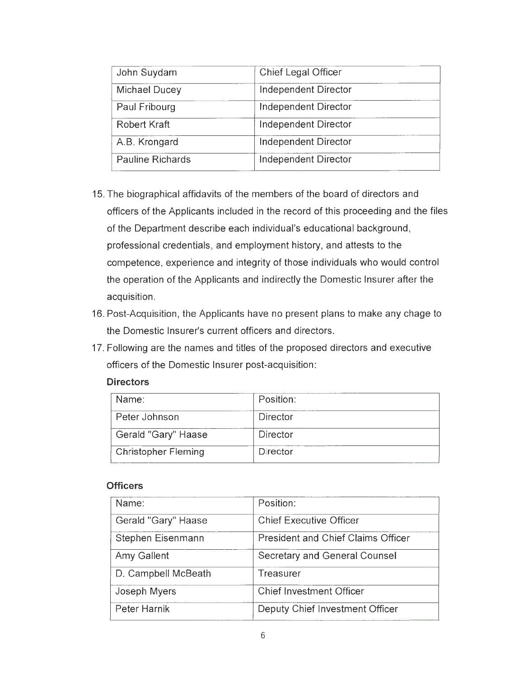| John Suydam             | Chief Legal Officer         |
|-------------------------|-----------------------------|
| Michael Ducey           | Independent Director        |
| Paul Fribourg           | Independent Director        |
| <b>Robert Kraft</b>     | <b>Independent Director</b> |
| A.B. Krongard           | Independent Director        |
| <b>Pauline Richards</b> | Independent Director        |

- 15. The biographical affidavits of the members of the board of directors and officers of the Applicants included in the record of this proceeding and the files of the Department describe each individual's educational background , professional credentials, and employment history, and attests to the competence, experience and integrity of those individuals who would control the operation of the Applicants and indirectly the Domestic Insurer after the acquisition.
- 16. Post-Acquisition, the Applicants have no present plans to make any chage to the Domestic Insurer's current officers and directors.
- 17. Following are the names and titles of the proposed directors and executive officers of the Domestic Insurer post-acquisition :

| Name:                      | Position:       |
|----------------------------|-----------------|
| Peter Johnson              | Director        |
| Gerald "Gary" Haase        | <b>Director</b> |
| <b>Christopher Fleming</b> | Director        |

#### **Directors**

#### **Officers**

| Name:               | Position:                                 |
|---------------------|-------------------------------------------|
| Gerald "Gary" Haase | <b>Chief Executive Officer</b>            |
| Stephen Eisenmann   | <b>President and Chief Claims Officer</b> |
| Amy Gallent         | <b>Secretary and General Counsel</b>      |
| D. Campbell McBeath | <b>Treasurer</b>                          |
| Joseph Myers        | Chief Investment Officer                  |
| Peter Harnik        | Deputy Chief Investment Officer           |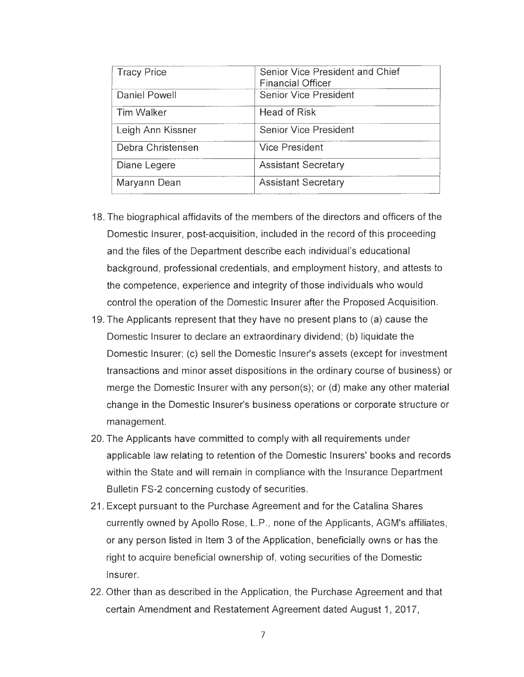| <b>Tracy Price</b>   | Senior Vice President and Chief<br><b>Financial Officer</b> |
|----------------------|-------------------------------------------------------------|
| <b>Daniel Powell</b> | <b>Senior Vice President</b>                                |
| <b>Tim Walker</b>    | <b>Head of Risk</b>                                         |
| Leigh Ann Kissner    | <b>Senior Vice President</b>                                |
| Debra Christensen    | <b>Vice President</b>                                       |
| Diane Legere         | <b>Assistant Secretary</b>                                  |
| Maryann Dean         | <b>Assistant Secretary</b>                                  |

- 18.The biographical affidavits of the members of the directors and officers of the Domestic Insurer, post-acquisition, included in the record of this proceeding and the files of the Department describe each individual's educational background, professional credentials, and employment history, and attests to the competence, experience and integrity of those individuals who would control the operation of the Domestic Insurer after the Proposed Acquisition.
- 19. The Applicants represent that they have no present plans to (a) cause the Domestic Insurer to declare an extraordinary dividend; (b) liquidate the Domestic Insurer; (c) sell the Domestic Insurer's assets (except for investment transactions and minor asset dispositions in the ordinary course of business) or merge the Domestic Insurer with any person(s); or (d) make any other material change in the Domestic Insurer's business operations or corporate structure or management.
- 20. The Applicants have committed to comply with all requirements under applicable law relating to retention of the Domestic Insurers' books and records within the State and will remain in compliance with the Insurance Department Bulletin FS-2 concerning custody of securities.
- 21. Except pursuant to the Purchase Agreement and for the Catalina Shares currently owned by Apollo Rose, L.P., none of the Applicants, AGM's affiliates, or any person listed in Item 3 of the Application , beneficially owns or has the right to acquire beneficial ownership of, voting securities of the Domestic Insurer.
- 22. Other than as described in the Application, the Purchase Agreement and that certain Amendment and Restatement Agreement dated August 1, 2017,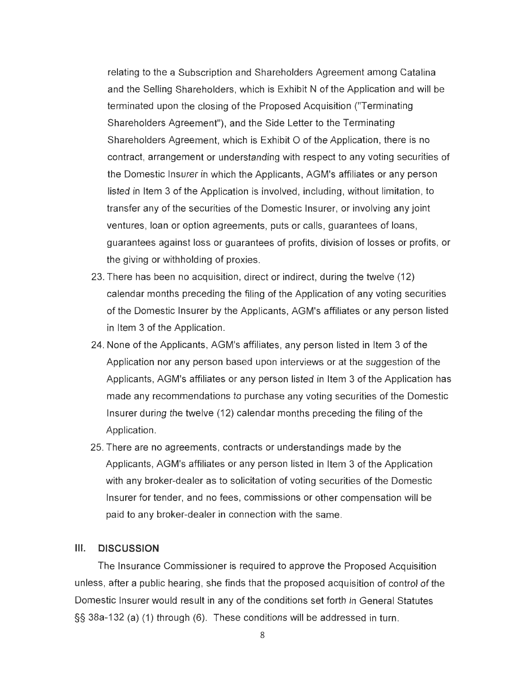relating to the a Subscription and Shareholders Agreement among Catalina and the Selling Shareholders, which is Exhibit N of the Application and will be terminated upon the closing of the Proposed Acquisition ("Terminating Shareholders Agreement"), and the Side Letter to the Terminating Shareholders Agreement, which is Exhibit O of the Application , there is no contract, arrangement or understanding with respect to any voting securities of the Domestic Insurer in which the Applicants , AGM's affiliates or any person listed in Item 3 of the Application is involved, including, without limitation, to transfer any of the securities of the Domestic Insurer, or involving any joint ventures, loan or option agreements, puts or calls, guarantees of loans, guarantees against loss or guarantees of profits, division of losses or profits, or the giving or withholding of proxies.

- 23. There has been no acquisition, direct or indirect, during the twelve (12) calendar months preceding the filing of the Application of any voting securities of the Domestic Insurer by the Applicants, AGM's affiliates or any person listed in Item 3 of the Application.
- 24. None of the Applicants, AGM's affiliates, any person listed in Item 3 of the Application nor any person based upon interviews or at the suggestion of the Applicants, AGM's affiliates or any person listed in Item 3 of the Application has made any recommendations to purchase any voting securities of the Domestic Insurer during the twelve (12) calendar months preceding the filing of the Application.
- 25. There are no agreements, contracts or understandings made by the Applicants, AGM's affiliates or any person listed in Item 3 of the Application with any broker-dealer as to solicitation of voting securities of the Domestic Insurer for tender, and no fees , commissions or other compensation will be paid to any broker-dealer in connection with the same.

#### **Ill. DISCUSSION**

The Insurance Commissioner is required to approve the Proposed Acquisition unless, after a public hearing, she finds that the proposed acquisition of control of the Domestic Insurer would result in any of the conditions set forth in General Statutes §§ 38a-132 (a) (1) through (6). These conditions will be addressed in turn .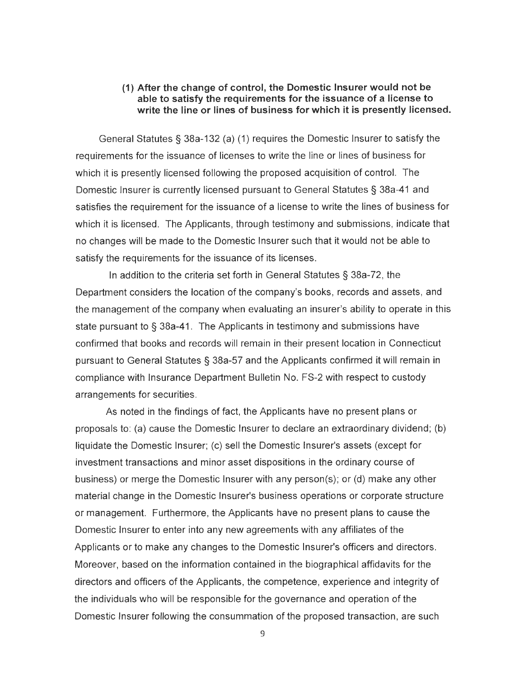## **(1) After the change of control, the Domestic Insurer would not be able to satisfy the requirements for the issuance of a license to write the line or lines of business for which it is presently licensed.**

General Statutes§ 38a-132 (a) (1) requires the Domestic Insurer to satisfy the requirements for the issuance of licenses to write the line or lines of business for which it is presently licensed following the proposed acquisition of control. The Domestic Insurer is currently licensed pursuant to General Statutes§ 38a-41 and satisfies the requirement for the issuance of a license to write the lines of business for which it is licensed. The Applicants, through testimony and submissions, indicate that no changes will be made to the Domestic Insurer such that it would not be able to satisfy the requirements for the issuance of its licenses.

In addition to the criteria set forth in General Statutes§ 38a-72, the Department considers the location of the company's books, records and assets, and the management of the company when evaluating an insurer's ability to operate in this state pursuant to § 38a-41. The Applicants in testimony and submissions have confirmed that books and records will remain in their present location in Connecticut pursuant to General Statutes § 38a-57 and the Applicants confirmed it will remain in compliance with Insurance Department Bulletin No. FS-2 with respect to custody arrangements for securities.

As noted in the findings of fact, the Applicants have no present plans or proposals to: (a) cause the Domestic Insurer to declare an extraordinary dividend; (b) liquidate the Domestic Insurer; (c) sell the Domestic Insurer's assets (except for investment transactions and minor asset dispositions in the ordinary course of business) or merge the Domestic Insurer with any person(s); or (d) make any other material change in the Domestic Insurer's business operations or corporate structure or management. Furthermore, the Applicants have no present plans to cause the Domestic Insurer to enter into any new agreements with any affiliates of the Applicants or to make any changes to the Domestic Insurer's officers and directors. Moreover, based on the information contained in the biographical affidavits for the directors and officers of the Applicants, the competence, experience and integrity of the individuals who will be responsible for the governance and operation of the Domestic Insurer following the consummation of the proposed transaction, are such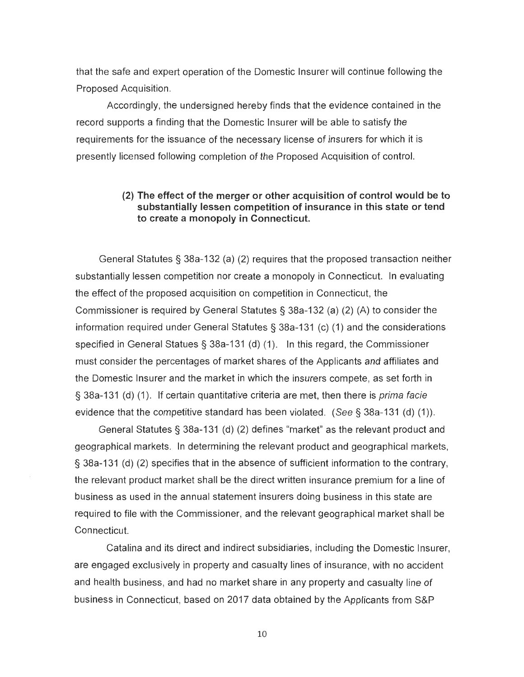that the safe and expert operation of the Domestic Insurer will continue following the Proposed Acquisition .

Accordingly, the undersigned hereby finds that the evidence contained in the record supports a finding that the Domestic Insurer will be able to satisfy the requirements for the issuance of the necessary license of insurers for which it is presently licensed following completion of the Proposed Acquisition of control.

## **(2) The effect of the merger or other acquisition of control would be to substantially lessen competition of insurance in this state or tend to create a monopoly in Connecticut.**

General Statutes§ 38a-132 (a) (2) requires that the proposed transaction neither substantially lessen competition nor create a monopoly in Connecticut. In evaluating the effect of the proposed acquisition on competition in Connecticut, the Commissioner is required by General Statutes§ 38a-132 (a) (2) (A) to consider the information required under General Statutes§ 38a-131 (c) (1) and the considerations specified in General Statues  $\S$  38a-131 (d) (1). In this regard, the Commissioner must consider the percentages of market shares of the Applicants and affiliates and the Domestic Insurer and the market in which the insurers compete, as set forth in § 38a-131 (d) (1). If certain quantitative criteria are met, then there is prima facie evidence that the competitive standard has been violated. (See§ 38a-131 (d) (1)).

General Statutes§ 38a-131 (d) (2) defines "market" as the relevant product and geographical markets. In determining the relevant product and geographical markets, § 38a-131 (d) (2) specifies that in the absence of sufficient information to the contrary, the relevant product market shall be the direct written insurance premium for a line of business as used in the annual statement insurers doing business in this state are required to file with the Commissioner, and the relevant geographical market shall be Connecticut.

Catalina and its direct and indirect subsidiaries, including the Domestic Insurer, are engaged exclusively in property and casualty lines of insurance, with no accident and health business, and had no market share in any property and casualty line of business in Connecticut, based on 2017 data obtained by the Applicants from S&P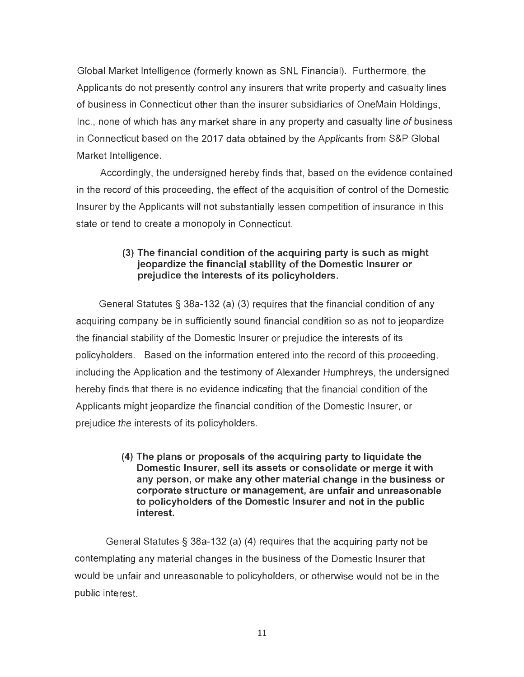Global Market Intelligence (formerly known as SNL Financial). Furthermore, the Applicants do not presently control any insurers that write property and casualty lines of business in Connecticut other than the insurer subsidiaries of OneMain Holdings, Inc. , none of which has any market share in any property and casualty line of business in Connecticut based on the 2017 data obtained by the Applicants from S&P Global Market Intelligence.

Accordingly, the undersigned hereby finds that, based on the evidence contained in the record of this proceeding , the effect of the acquisition of control of the Domestic Insurer by the Applicants will not substantially lessen competition of insurance in this state or tend to create a monopoly in Connecticut.

# **(3) The financial condition of the acquiring party is such as might jeopardize the financial stability of the Domestic Insurer or prejudice the interests of its policyholders.**

General Statutes§ 38a-132 (a) (3) requires that the financial condition of any acquiring company be in sufficiently sound financial condition so as not to jeopardize the financial stability of the Domestic Insurer or prejudice the interests of its policyholders. Based on the information entered into the record of this proceeding, including the Application and the testimony of Alexander Humphreys, the undersigned hereby finds that there is no evidence indicating that the financial condition of the Applicants might jeopardize the financial condition of the Domestic Insurer, or prejudice the interests of its policyholders.

> **(4) The plans or proposals of the acquiring party to liquidate the Domestic Insurer, sell its assets or consolidate or merge it with any person, or make any other material change in the business or corporate structure or management, are unfair and unreasonable to policyholders of the Domestic Insurer and not in the public interest.**

General Statutes§ 38a-132 (a) **(4)** requires that the acquiring party not be contemplating any material changes in the business of the Domestic Insurer that would be unfair and unreasonable to policyholders, or otherwise would not be in the public interest.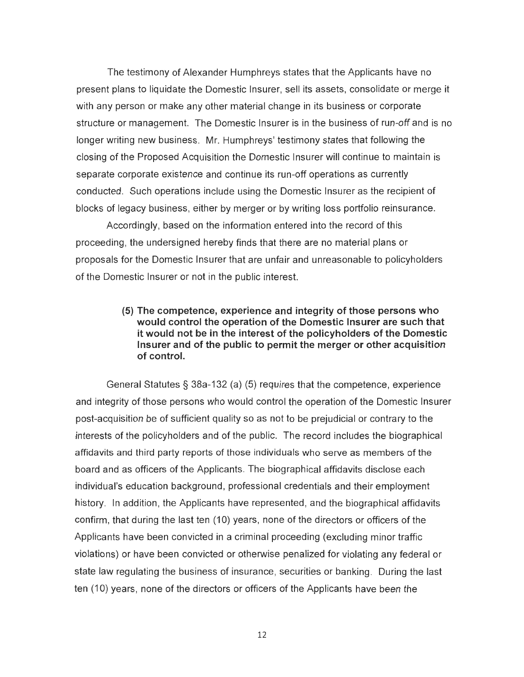The testimony of Alexander Humphreys states that the Applicants have no present plans to liquidate the Domestic Insurer, sell its assets, consolidate or merge it with any person or make any other material change in its business or corporate structure or management. The Domestic Insurer is in the business of run-off and is no longer writing new business. Mr. Humphreys' testimony states that following the closing of the Proposed Acquisition the Domestic Insurer will continue to maintain is separate corporate existence and continue its run-off operations as currently conducted. Such operations include using the Domestic Insurer as the recipient of blocks of legacy business, either by merger or by writing loss portfolio reinsurance.

Accordingly, based on the information entered into the record of this proceeding , the undersigned hereby finds that there are no material plans or proposals for the Domestic Insurer that are unfair and unreasonable to policyholders of the Domestic Insurer or not in the public interest.

> **(5) The competence, experience and integrity of those persons who would control the operation of the Domestic Insurer are such that it would not be in the interest of the policyholders of the Domestic Insurer and of the public to permit the merger or other acquisition of control.**

General Statutes§ 38a-132 (a) (5) requires that the competence, experience and integrity of those persons who would control the operation of the Domestic Insurer post-acquisition be of sufficient quality so as not to be prejudicial or contrary to the interests of the policyholders and of the public. The record includes the biographical affidavits and third party reports of those individuals who serve as members of the board and as officers of the Applicants. The biographical affidavits disclose each individual's education background, professional credentials and their employment history. In addition, the Applicants have represented, and the biographical affidavits confirm, that during the last ten (10) years, none of the directors or officers of the Applicants have been convicted in a criminal proceeding (excluding minor traffic violations) or have been convicted or otherwise penalized for violating any federal or state law regulating the business of insurance, securities or banking. During the last ten (10) years, none of the directors or officers of the Applicants have been the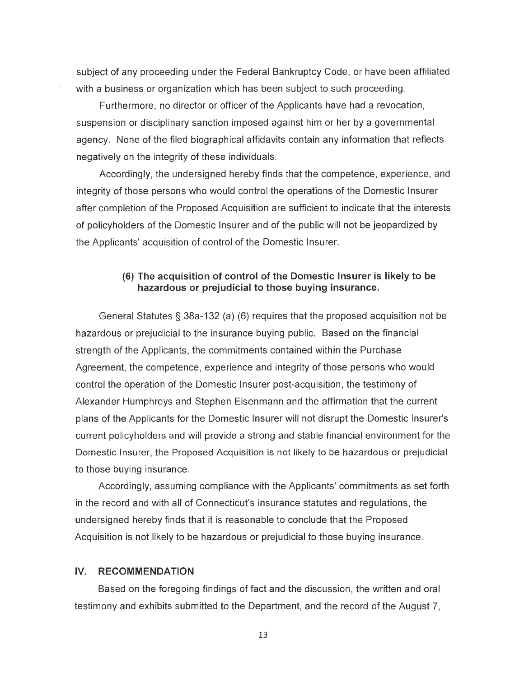subject of any proceeding under the Federal Bankruptcy Code, or have been affiliated with a business or organization which has been subject to such proceeding.

Furthermore, no director or officer of the Applicants have had a revocation , suspension or disciplinary sanction imposed against him or her by a governmental agency. None of the filed biographical affidavits contain any information that reflects negatively on the integrity of these individuals.

Accordingly, the undersigned hereby finds that the competence, experience, and integrity of those persons who would control the operations of the Domestic Insurer after completion of the Proposed Acquisition are sufficient to indicate that the interests of policyholders of the Domestic Insurer and of the public will not be jeopardized by the Applicants' acquisition of control of the Domestic Insurer.

# **(6) The acquisition of control of the Domestic Insurer is likely to be hazardous or prejudicial to those buying insurance.**

General Statutes§ 38a-132 (a) (6) requires that the proposed acquisition not be hazardous or prejudicial to the insurance buying public. Based on the financial strength of the Applicants, the commitments contained within the Purchase Agreement, the competence, experience and integrity of those persons who would control the operation of the Domestic Insurer post-acquisition , the testimony of Alexander Humphreys and Stephen Eisenmann and the affirmation that the current plans of the Applicants for the Domestic Insurer will not disrupt the Domestic Insurer's current policyholders and will provide a strong and stable financial environment for the Domestic Insurer, the Proposed Acquisition is not likely to be hazardous or prejudicial to those buying insurance.

Accordingly, assuming compliance with the Applicants' commitments as set forth in the record and with all of Connecticut's insurance statutes and regulations, the undersigned hereby finds that it is reasonable to conclude that the Proposed Acquisition is not likely to be hazardous or prejudicial to those buying insurance.

#### **IV. RECOMMENDATION**

Based on the foregoing findings of fact and the discussion , the written and oral testimony and exhibits submitted to the Department, and the record of the August 7,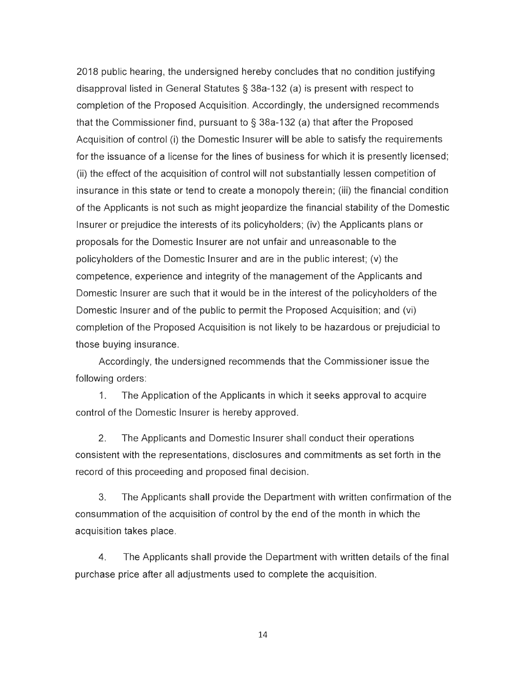2018 public hearing, the undersigned hereby concludes that no condition justifying disapproval listed in General Statutes § 38a-132 (a) is present with respect to completion of the Proposed Acquisition. Accordingly, the undersigned recommends that the Commissioner find, pursuant to  $\S$  38a-132 (a) that after the Proposed Acquisition of control (i) the Domestic Insurer will be able to satisfy the requirements for the issuance of a license for the lines of business for which it is presently licensed; (ii) the effect of the acquisition of control will not substantially lessen competition of insurance in this state or tend to create a monopoly therein; (iii) the financial condition of the Applicants is not such as might jeopardize the financial stability of the Domestic Insurer or prejudice the interests of its policyholders; (iv) the Applicants plans or proposals for the Domestic Insurer are not unfair and unreasonable to the policyholders of the Domestic Insurer and are in the public interest; (v) the competence, experience and integrity of the management of the Applicants and Domestic Insurer are such that it would be in the interest of the policyholders of the Domestic Insurer and of the public to permit the Proposed Acquisition; and (vi) completion of the Proposed Acquisition is not likely to be hazardous or prejudicial to those buying insurance.

Accordingly, the undersigned recommends that the Commissioner issue the following orders:

1. The Application of the Applicants in which it seeks approval to acquire control of the Domestic Insurer is hereby approved .

2. The Applicants and Domestic Insurer shall conduct their operations consistent with the representations, disclosures and commitments as set forth in the record of this proceeding and proposed final decision.

3. The Applicants shall provide the Department with written confirmation of the consummation of the acquisition of control by the end of the month in which the acquisition takes place.

4. The Applicants shall provide the Department with written details of the final purchase price after all adjustments used to complete the acquisition.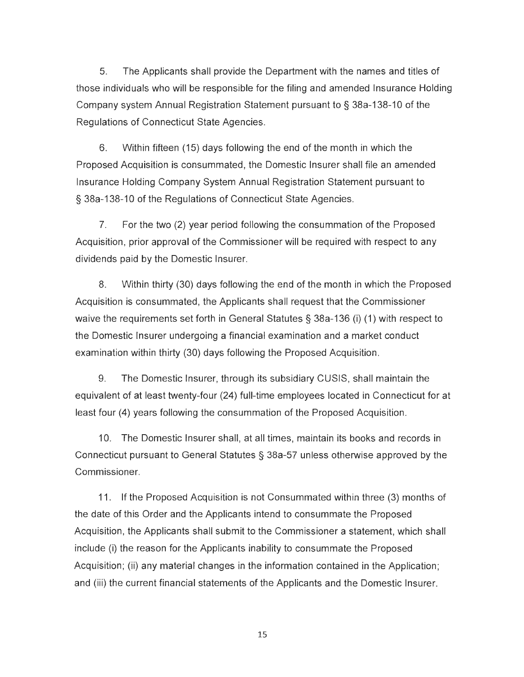5. The Applicants shall provide the Department with the names and titles of those individuals who will be responsible for the filing and amended Insurance Holding Company system Annual Registration Statement pursuant to § 38a-138-10 of the Regulations of Connecticut State Agencies.

6. Within fifteen (15) days following the end of the month in which the Proposed Acquisition is consummated, the Domestic Insurer shall file an amended Insurance Holding Company System Annual Registration Statement pursuant to § 38a-138-10 of the Regulations of Connecticut State Agencies.

7. For the two (2) year period following the consummation of the Proposed Acquisition, prior approval of the Commissioner will be required with respect to any dividends paid by the Domestic Insurer.

8. Within thirty (30) days following the end of the month in which the Proposed Acquisition is consummated , the Applicants shall request that the Commissioner waive the requirements set forth in General Statutes § 38a-136 (i) (1) with respect to the Domestic Insurer undergoing a financial examination and a market conduct examination within thirty (30) days following the Proposed Acquisition.

9. The Domestic Insurer, through its subsidiary CUSIS, shall maintain the equivalent of at least twenty-four (24) full-time employees located in Connecticut for at least four (4) years following the consummation of the Proposed Acquisition .

10. The Domestic Insurer shall, at all times, maintain its books and records in Connecticut pursuant to General Statutes § 38a-57 unless otherwise approved by the Commissioner.

11. If the Proposed Acquisition is not Consummated within three (3) months of the date of this Order and the Applicants intend to consummate the Proposed Acquisition, the Applicants shall submit to the Commissioner a statement, which shall include (i) the reason for the Applicants inability to consummate the Proposed Acquisition; (ii) any material changes in the information contained in the Application; and (iii) the current financial statements of the Applicants and the Domestic Insurer.